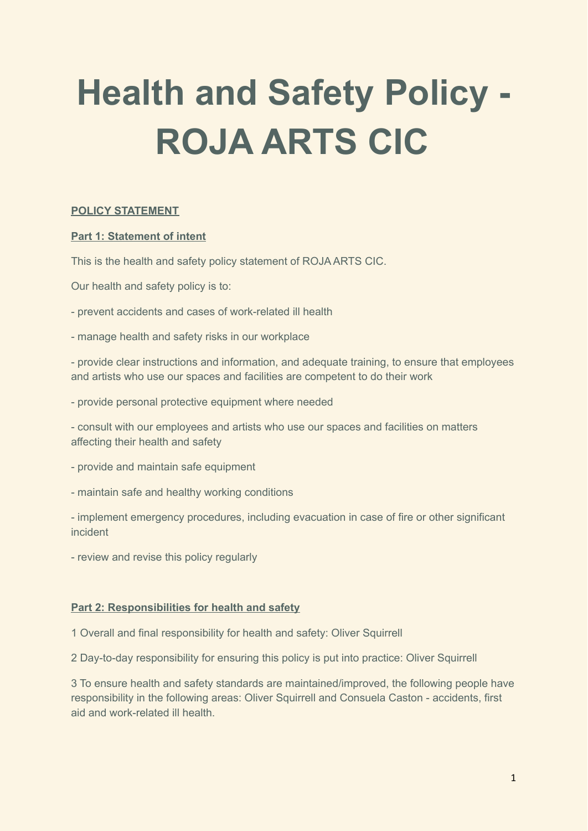# **Health and Safety Policy - ROJA ARTS CIC**

# **POLICY STATEMENT**

## **Part 1: Statement of intent**

This is the health and safety policy statement of ROJA ARTS CIC.

Our health and safety policy is to:

- prevent accidents and cases of work-related ill health
- manage health and safety risks in our workplace

- provide clear instructions and information, and adequate training, to ensure that employees and artists who use our spaces and facilities are competent to do their work

- provide personal protective equipment where needed

- consult with our employees and artists who use our spaces and facilities on matters affecting their health and safety

- provide and maintain safe equipment
- maintain safe and healthy working conditions

- implement emergency procedures, including evacuation in case of fire or other significant incident

- review and revise this policy regularly

## **Part 2: Responsibilities for health and safety**

1 Overall and final responsibility for health and safety: Oliver Squirrell

2 Day-to-day responsibility for ensuring this policy is put into practice: Oliver Squirrell

3 To ensure health and safety standards are maintained/improved, the following people have responsibility in the following areas: Oliver Squirrell and Consuela Caston - accidents, first aid and work-related ill health.